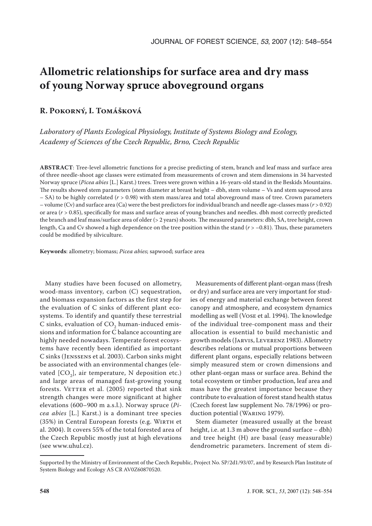# **Allometric relationships for surface area and dry mass of young Norway spruce aboveground organs**

### **R. Pokorný, I. Tomášková**

*Laboratory of Plants Ecological Physiology, Institute of Systems Biology and Ecology, Academy of Sciences of the Czech Republic, Brno, Czech Republic*

**Abstract**: Tree-level allometric functions for a precise predicting of stem, branch and leaf mass and surface area of three needle-shoot age classes were estimated from measurements of crown and stem dimensions in 34 harvested Norway spruce (*Picea abies* [L.] Karst.) trees. Trees were grown within a 16-years-old stand in the Beskids Mountains. The results showed stem parameters (stem diameter at breast height – dbh, stem volume – Vs and stem sapwood area – SA) to be highly correlated (*r* > 0.98) with stem mass/area and total aboveground mass of tree. Crown parameters – volume (Cv) and surface area (Ca) were the best predictors for individual branch and needle age-classes mass (*r* > 0.92) or area (*r* > 0.85), specifically for mass and surface areas of young branches and needles. dbh most correctly predicted the branch and leaf mass/surface area of older (> 2 years) shoots. The measured parameters: dbh, SA, tree height, crown length, Ca and Cv showed a high dependence on the tree position within the stand (*r* > –0.81). Thus, these parameters could be modified by silviculture.

**Keywords**: allometry; biomass; *Picea abies*; sapwood; surface area

Many studies have been focused on allometry, wood-mass inventory, carbon (C) sequestration, and biomass expansion factors as the first step for the evaluation of C sinks of different plant ecosystems. To identify and quantify these terrestrial C sinks, evaluation of  $CO<sub>2</sub>$  human-induced emissions and information for C balance accounting are highly needed nowadays. Temperate forest ecosystems have recently been identified as important C sinks (Jenssens et al. 2003). Carbon sinks might be associated with an environmental changes (elevated  $[CO<sub>2</sub>]$ , air temperature, N deposition etc.) and large areas of managed fast-growing young forests. VETTER et al.  $(2005)$  reported that sink strength changes were more significant at higher elevations (600–900 m a.s.l.). Norway spruce (*Picea abies* [L.] Karst.) is a dominant tree species (35%) in Central European forests (e.g. Wirth et al. 2004). It covers 55% of the total forested area of the Czech Republic mostly just at high elevations (see www.uhul.cz).

Measurements of different plant-organ mass (fresh or dry) and surface area are very important for studies of energy and material exchange between forest canopy and atmosphere, and ecosystem dynamics modelling as well (Vose et al. 1994). The knowledge of the individual tree-component mass and their allocation is essential to build mechanistic and growth models (Jarvis, Leverenz 1983). Allometry describes relations or mutual proportions between different plant organs, especially relations between simply measured stem or crown dimensions and other plant-organ mass or surface area. Behind the total ecosystem or timber production, leaf area and mass have the greatest importance because they contribute to evaluation of forest stand health status (Czech forest law supplement No. 78/1996) or production potential (Waring 1979).

Stem diameter (measured usually at the breast height, i.e. at 1.3 m above the ground surface – dbh) and tree height (H) are basal (easy measurable) dendrometric parameters. Increment of stem di-

Supported by the Ministry of Environment of the Czech Republic, Project No. SP/2d1/93/07, and by Research Plan Institute of System Biology and Ecology AS CR AV0Z60870520.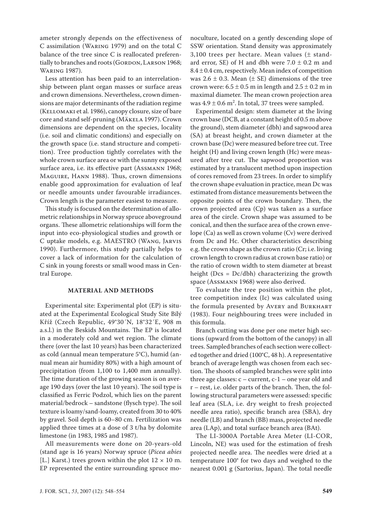ameter strongly depends on the effectiveness of C assimilation (Waring 1979) and on the total C balance of the tree since C is reallocated preferentially to branches and roots (GORDON, LARSON 1968; Waring 1987).

Less attention has been paid to an interrelationship between plant organ masses or surface areas and crown dimensions. Nevertheless, crown dimensions are major determinants of the radiation regime (Kellomaki et al. 1986), canopy closure, size of bare core and stand self-pruning (Mäkela 1997). Crown dimensions are dependent on the species, locality (i.e. soil and climatic conditions) and especially on the growth space (i.e. stand structure and competition). Tree production tightly correlates with the whole crown surface area or with the sunny exposed surface area, i.e. its effective part (Assmann 1968; Maguire, Hann 1988). Thus, crown dimensions enable good approximation for evaluation of leaf or needle amounts under favourable irradiances. Crown length is the parameter easiest to measure.

This study is focused on the determination of allometric relationships in Norway spruce aboveground organs. These allometric relationships will form the input into eco-physiological studies and growth or C uptake models, e.g. MAESTRO (Wang, Jarvis 1990). Furthermore, this study partially helps to cover a lack of information for the calculation of C sink in young forests or small wood mass in Central Europe.

#### **Material and methods**

Experimental site: Experimental plot (EP) is situated at the Experimental Ecological Study Site Bílý Kříž (Czech Republic, 49°30´N, 18°32´E, 908 m a.s.l.) in the Beskids Mountains. The EP is located in a moderately cold and wet region. The climate there (over the last 10 years) has been characterized as cold (annual mean temperature 5°C), humid (annual mean air humidity 80%) with a high amount of precipitation (from 1,100 to 1,400 mm annually). The time duration of the growing season is on average 190 days (over the last 10 years). The soil type is classified as Ferric Podzol, which lies on the parent material/bedrock – sandstone (flysch type). The soil texture is loamy/sand-loamy, created from 30 to 40% by gravel. Soil depth is 60–80 cm. Fertilization was applied three times at a dose of 3 t/ha by dolomite limestone (in 1983, 1985 and 1987).

All measurements were done on 20-years-old (stand age is 16 years) Norway spruce (*Picea abies*  [L.] Karst.) trees grown within the plot  $12 \times 10$  m. EP represented the entire surrounding spruce mo-

noculture, located on a gently descending slope of SSW orientation. Stand density was approximately 3,100 trees per hectare. Mean values  $(\pm \text{ stand} - \text{total})$ ard error, SE) of H and dbh were  $7.0 \pm 0.2$  m and  $8.4 \pm 0.4$  cm, respectively. Mean index of competition was  $2.6 \pm 0.3$ . Mean ( $\pm$  SE) dimensions of the tree crown were:  $6.5 \pm 0.5$  m in length and  $2.5 \pm 0.2$  m in maximal diameter. The mean crown projection area was  $4.9 \pm 0.6$  m<sup>2</sup>. In total, 37 trees were sampled.

Experimental design: stem diameter at the living crown base (DCB, at a constant height of 0.5 m above the ground), stem diameter (dbh) and sapwood area (SA) at breast height, and crown diameter at the crown base (Dc) were measured before tree cut. Tree height (H) and living crown length (Hc) were measured after tree cut. The sapwood proportion was estimated by a translucent method upon inspection of cores removed from 23 trees. In order to simplify the crown shape evaluation in practice, mean Dc was estimated from distance measurements between the opposite points of the crown boundary. Then, the crown projected area (Cp) was taken as a surface area of the circle. Crown shape was assumed to be conical, and then the surface area of the crown envelope (Ca) as well as crown volume (Cv) were derived from Dc and Hc. Other characteristics describing e.g. the crown shape as the crown ratio (Cr; i.e. living crown length to crown radius at crown base ratio) or the ratio of crown width to stem diameter at breast height ( $Dcs = Dc/dbh$ ) characterizing the growth space (Assmann 1968) were also derived.

To evaluate the tree position within the plot, tree competition index (Ic) was calculated using the formula presented by Avery and Burkhart (1983). Four neighbouring trees were included in this formula.

Branch cutting was done per one meter high sections (upward from the bottom of the canopy) in all trees. Sampled branches of each section were collected together and dried (100°C, 48 h). A representative branch of average length was chosen from each section. The shoots of sampled branches were split into three age classes:  $c$  – current,  $c$ -1 – one year old and r – rest, i.e. older parts of the branch. Then, the following structural parameters were assessed: specific leaf area (SLA, i.e. dry weight to fresh projected needle area ratio), specific branch area (SBA), dry needle (LB) and branch (BB) mass, projected needle area (LAp), and total surface branch area (BAt).

The LI-3000A Portable Area Meter (LI-COR, Lincoln, NE) was used for the estimation of fresh projected needle area. The needles were dried at a temperature 100° for two days and weighed to the nearest 0.001 g (Sartorius, Japan). The total needle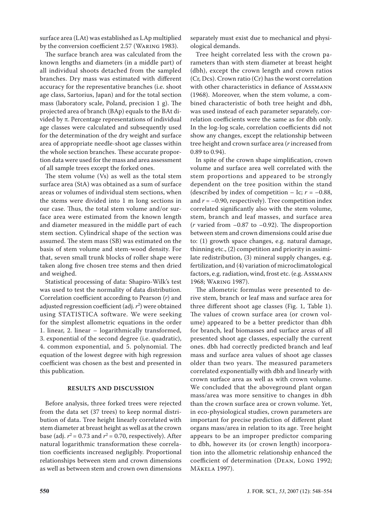surface area (LAt) was established as LAp multiplied by the conversion coefficient 2.57 (Waring 1983).

The surface branch area was calculated from the known lengths and diameters (in a middle part) of all individual shoots detached from the sampled branches. Dry mass was estimated with different accuracy for the representative branches (i.e. shoot age class, Sartorius, Japan) and for the total section mass (laboratory scale, Poland, precision 1 g). The projected area of branch (BAp) equals to the BAt divided by  $π$ . Percentage representations of individual age classes were calculated and subsequently used for the determination of the dry weight and surface area of appropriate needle-shoot age classes within the whole section branches. These accurate proportion data were used for the mass and area assessment of all sample trees except the forked ones.

The stem volume (Vs) as well as the total stem surface area (StA) was obtained as a sum of surface areas or volumes of individual stem sections, when the stems were divided into 1 m long sections in our case. Thus, the total stem volume and/or surface area were estimated from the known length and diameter measured in the middle part of each stem section. Cylindrical shape of the section was assumed. The stem mass (SB) was estimated on the basis of stem volume and stem-wood density. For that, seven small trunk blocks of roller shape were taken along five chosen tree stems and then dried and weighed.

Statistical processing of data: Shapiro-Wilk's test was used to test the normality of data distribution. Correlation coefficient according to Pearson (*r*) and adjusted regression coefficient (adj. *r*<sup>2</sup> ) were obtained using STATISTICA software. We were seeking for the simplest allometric equations in the order 1. linear, 2. linear – logarithmically transformed, 3. exponential of the second degree (i.e. quadratic), 4. common exponential, and 5. polynomial. The equation of the lowest degree with high regression coefficient was chosen as the best and presented in this publication.

#### **Results and discussion**

Before analysis, three forked trees were rejected from the data set (37 trees) to keep normal distribution of data. Tree height linearly correlated with stem diameter at breast height as well as at the crown base (adj.  $r^2 = 0.73$  and  $r^2 = 0.70$ , respectively). After natural logarithmic transformation these correlation coefficients increased negligibly. Proportional relationships between stem and crown dimensions as well as between stem and crown own dimensions separately must exist due to mechanical and physiological demands.

Tree height correlated less with the crown parameters than with stem diameter at breast height (dbh), except the crown length and crown ratios (Cr, Dcs). Crown ratio (Cr) has the worst correlation with other characteristics in defiance of Assmann (1968). Moreover, when the stem volume, a combined characteristic of both tree height and dbh, was used instead of each parameter separately, correlation coefficients were the same as for dbh only. In the log-log scale, correlation coefficients did not show any changes, except the relationship between tree height and crown surface area (*r* increased from 0.89 to 0.94).

In spite of the crown shape simplification, crown volume and surface area well correlated with the stem proportions and appeared to be strongly dependent on the tree position within the stand (described by index of competition – Ic;  $r = -0.88$ , and  $r = -0.90$ , respectively). Tree competition index correlated significantly also with the stem volume, stem, branch and leaf masses, and surface area ( $r$  varied from  $-0.87$  to  $-0.92$ ). The disproportion between stem and crown dimensions could arise due to: (1) growth space changes, e.g. natural damage, thinning etc., (2) competition and priority in assimilate redistribution, (3) mineral supply changes, e.g. fertilization, and (4) variation of microclimatological factors, e.g. radiation, wind, frost etc. (e.g. Assmann 1968; Waring 1987).

The allometric formulas were presented to derive stem, branch or leaf mass and surface area for three different shoot age classes (Fig. 1, Table 1). The values of crown surface area (or crown volume) appeared to be a better predictor than dbh for branch, leaf biomasses and surface areas of all presented shoot age classes, especially the current ones. dbh had correctly predicted branch and leaf mass and surface area values of shoot age classes older than two years. The measured parameters correlated exponentially with dbh and linearly with crown surface area as well as with crown volume. We concluded that the aboveground plant organ mass/area was more sensitive to changes in dbh than the crown surface area or crown volume. Yet, in eco-physiological studies, crown parameters are important for precise prediction of different plant organs mass/area in relation to its age. Tree height appears to be an improper predictor comparing to dbh, however its (or crown length) incorporation into the allometric relationship enhanced the coefficient of determination (Dean, Long 1992; Mäkela 1997).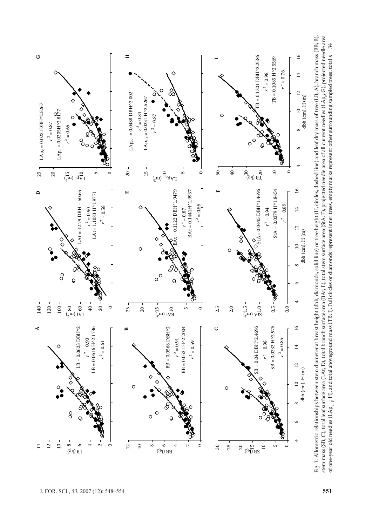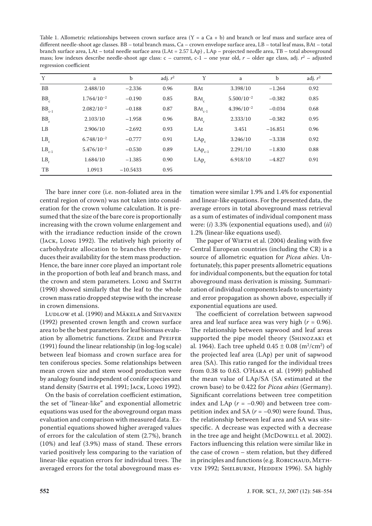Table 1. Allometric relationships between crown surface area  $(Y = a Ca + b)$  and branch or leaf mass and surface area of different needle-shoot age classes. BB – total branch mass, Ca – crown envelope surface area, LB – total leaf mass, BAt – total branch surface area, LAt – total needle surface area (LAt = 2.57 LAp) , LAp – projected needle area, TB – total aboveground mass; low indexes describe needle-shoot age class: c – current, c-1 – one year old, *r* – older age class, adj. *r*<sup>2</sup> – adjusted regression coefficient

| Y               | a               | b          | adj. $r^2$ | Y           | a               | b         | adj. $r^2$ |
|-----------------|-----------------|------------|------------|-------------|-----------------|-----------|------------|
| <b>BB</b>       | 2.488/10        | $-2.336$   | 0.96       | <b>BAt</b>  | 3.398/10        | $-1.264$  | 0.92       |
| $BB_c$          | $1.764/10^{-2}$ | $-0.190$   | 0.85       | $BAt_c$     | $5.500/10^{-2}$ | $-0.382$  | 0.85       |
| $BB_{c-1}$      | $2.082/10^{-2}$ | $-0.188$   | 0.87       | $BAt_{c-1}$ | $4.396/10^{-2}$ | $-0.034$  | 0.68       |
| $BB_r$          | 2.103/10        | $-1.958$   | 0.96       | BAt         | 2.333/10        | $-0.382$  | 0.95       |
| LB              | 2.906/10        | $-2.692$   | 0.93       | LAt         | 3.451           | $-16.851$ | 0.96       |
| $LB_c$          | $6.748/10^{-2}$ | $-0.777$   | 0.91       | $LAp_c$     | 3.246/10        | $-3.338$  | 0.92       |
| $LB_{c-1}$      | $5.476/10^{-2}$ | $-0.530$   | 0.89       | $LAp_{c-1}$ | 2.291/10        | $-1.830$  | 0.88       |
| LB <sub>r</sub> | 1.684/10        | $-1.385$   | 0.90       | $LAp_r$     | 6.918/10        | $-4.827$  | 0.91       |
| TB              | 1.0913          | $-10.5433$ | 0.95       |             |                 |           |            |

The bare inner core (i.e. non-foliated area in the central region of crown) was not taken into consideration for the crown volume calculation. It is presumed that the size of the bare core is proportionally increasing with the crown volume enlargement and with the irradiance reduction inside of the crown (Jack, Long 1992). The relatively high priority of carbohydrate allocation to branches thereby reduces their availability for the stem mass production. Hence, the bare inner core played an important role in the proportion of both leaf and branch mass, and the crown and stem parameters. Long and SMITH (1990) showed similarly that the leaf to the whole crown mass ratio dropped stepwise with the increase in crown dimensions.

LudLow et al. (1990) and MÄKELA and SIEVANEN (1992) presented crown length and crown surface area to be the best parameters for leaf biomass evaluation by allometric functions. ZEIDE and PFEIFER (1991) found the linear relationship (in log-log scale) between leaf biomass and crown surface area for ten coniferous species. Some relationships between mean crown size and stem wood production were by analogy found independent of conifer species and stand density (SMITH et al. 1991; JACK, LONG 1992).

On the basis of correlation coefficient estimation, the set of "linear-like" and exponential allometric equations was used for the aboveground organ mass evaluation and comparison with measured data. Exponential equations showed higher averaged values of errors for the calculation of stem (2.7%), branch (10%) and leaf (3.9%) mass of stand. These errors varied positively less comparing to the variation of linear-like equation errors for individual trees. The averaged errors for the total aboveground mass estimation were similar 1.9% and 1.4% for exponential and linear-like equations. For the presented data, the average errors in total aboveground mass retrieval as a sum of estimates of individual component mass were: (*i*) 3.3% (exponential equations used), and (*ii*) 1.2% (linear-like equations used).

The paper of WIRTH et al. (2004) dealing with five Central European countries (including the CR) is a source of allometric equation for *Picea abies*. Unfortunately, this paper presents allometric equations for individual components, but the equation for total aboveground mass derivation is missing. Summarization of individual components leads to uncertainty and error propagation as shown above, especially if exponential equations are used.

The coefficient of correlation between sapwood area and leaf surface area was very high (*r* = 0.96). The relationship between sapwood and leaf areas supported the pipe model theory (Shinozaki et al. 1964). Each tree upheld  $0.45 \pm 0.08$  (m<sup>2</sup>/cm<sup>2</sup>) of the projected leaf area (LAp) per unit of sapwood area (SA). This ratio ranged for the individual trees from 0.38 to 0.63. O'Hara et al. (1999) published the mean value of LAp/SA (SA estimated at the crown base) to be 0.422 for *Picea abies* (Germany). Significant correlations between tree competition index and LAp  $(r = -0.90)$  and between tree competition index and SA ( $r = -0.90$ ) were found. Thus, the relationship between leaf area and SA was sitespecific. A decrease was expected with a decrease in the tree age and height (McDowell et al. 2002). Factors influencing this relation were similar like in the case of crown – stem relation, but they differed in principles and functions (e.g. ROBICHAUD, METHven 1992; Shelburne, Hedden 1996). SA highly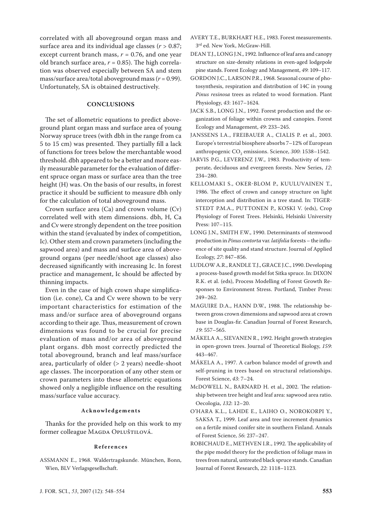correlated with all aboveground organ mass and surface area and its individual age classes  $(r > 0.87)$ ; except current branch mass,  $r = 0.76$ , and one year old branch surface area,  $r = 0.85$ ). The high correlation was observed especially between SA and stem mass/surface area/total aboveground mass (*r* = 0.99). Unfortunately, SA is obtained destructively.

#### **Conclusions**

The set of allometric equations to predict aboveground plant organ mass and surface area of young Norway spruce trees (with dbh in the range from ca 5 to 15 cm) was presented. They partially fill a lack of functions for trees below the merchantable wood threshold. dbh appeared to be a better and more easily measurable parameter for the evaluation of different spruce organ mass or surface area than the tree height (H) was. On the basis of our results, in forest practice it should be sufficient to measure dbh only for the calculation of total aboveground mass.

Crown surface area (Ca) and crown volume (Cv) correlated well with stem dimensions. dbh, H, Ca and Cv were strongly dependent on the tree position within the stand (evaluated by index of competition, Ic). Other stem and crown parameters (including the sapwood area) and mass and surface area of aboveground organs (per needle/shoot age classes) also decreased significantly with increasing Ic. In forest practice and management, Ic should be affected by thinning impacts.

Even in the case of high crown shape simplification (i.e. cone), Ca and Cv were shown to be very important characteristics for estimation of the mass and/or surface area of aboveground organs according to their age. Thus, measurement of crown dimensions was found to be crucial for precise evaluation of mass and/or area of aboveground plant organs. dbh most correctly predicted the total aboveground, branch and leaf mass/surface area, particularly of older  $(> 2$  years) needle-shoot age classes. The incorporation of any other stem or crown parameters into these allometric equations showed only a negligible influence on the resulting mass/surface value accuracy.

#### **Ac k n o w l e d g e m e n t s**

Thanks for the provided help on this work to my former colleague MAGDA OPLUŠTILOVÁ.

#### **R e f e r e n c e s**

Assmann E., 1968. Waldertragskunde. München, Bonn, Wien, BLV Verlagsgesellschaft.

- AVERY T.E., BURKHART H.E., 1983. Forest measurements. 3rd ed. New York, McGraw-Hill.
- DEAN T.J., LONG J.N., 1992. Influence of leaf area and canopy structure on size-density relations in even-aged lodgepole pine stands. Forest Ecology and Management, *49*: 109–117.
- GORDON J.C., LARSON P.R., 1968. Seasonal course of photosynthesis, respiration and distribution of 14C in young *Pinus resinosa* trees as related to wood formation. Plant Physiology, *43*: 1617–1624.
- JACK S.B., LONG J.N., 1992. Forest production and the organization of foliage within crowns and canopies. Forest Ecology and Management, *49*: 233–245.
- Janssens I.A., Freibauer A., Cialis P. et al., 2003. Europe's terrestrial biosphere absorbs 7-12% of European anthropogenic CO<sub>2</sub> emissions. Science, 300: 1538–1542.
- JARVIS P.G., LEVERENZ J.W., 1983. Productivity of temperate, deciduous and evergreen forests. New Series, *12*: 234–280.
- Kellomaki S., Oker-Blom P., Kuuluvainen T., 1986. The effect of crown and canopy structure on light interception and distribution in a tree stand. In: TIGER-STEDT P.M.A., PUTTONEN P., KOSKI V. (eds), Crop Physiology of Forest Trees. Helsinki, Helsinki University Press: 107–115.
- LONG J.N., SMITH F.W., 1990. Determinants of stemwood production in *Pinus contorta* var. *latifolia* forests – the influence of site quality and stand structure. Journal of Applied Ecology, *27*: 847–856.
- Ludlow A.R., Randle T.J., Grace J.C., 1990. Developing a process-based growth model fot Sitka spruce. In: DIXON R.K. et al. (eds), Process Modelling of Forest Growth Responses to Environment Stress. Portland, Timber Press: 249–262.
- MAGUIRE D.A., HANN D.W., 1988. The relationship between gross crown dimensions and sapwood area at crown base in Douglas-fir. Canadian Journal of Forest Research, *19*: 557–565.
- Mäkela A., Sievanen R., 1992. Height growth strategies in open-grown trees. Journal of Theoretical Biology, *159*: 443–467.
- Mäkela A., 1997. A carbon balance model of growth and self-pruning in trees based on structural relationships. Forest Science, *43*: 7–24.
- McDowell N., Barnard H. et al., 2002. The relationship between tree height and leaf area: sapwood area ratio. Oecologia, *132*: 12–20.
- O'Hara K.L., Lahde E., Laiho O., Norokorpi Y., SAKSA T., 1999. Leaf area and tree increment dynamics on a fertile mixed conifer site in southern Finland. Annals of Forest Science, *56*: 237–247.
- Robichaud E., Methven I.R., 1992. The applicability of the pipe model theory for the prediction of foliage mass in trees from natural, untreated black spruce stands. Canadian Journal of Forest Research, *22*: 1118–1123.